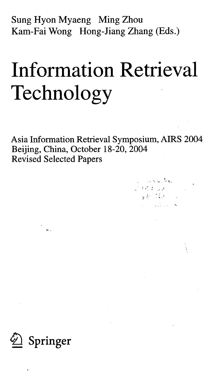Sung Hyon Myaeng Ming Zhou Kam-Fai Wong Hong-Jiang Zhang (Eds.)

# Information Retrieval Technology

Asia Information Retrieval Symposium, AIRS 2004 Beijing, China, October 18-20, 2004 Revised Selected Papers

> المعاشيات والمرادي uli pertaman<br>Tinggan dalam se

> > $\mathcal{L}(\mathcal{L})$

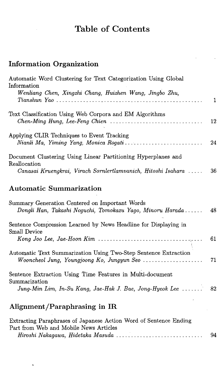## Table of Contents

### Information Organization

| Automatic Word Clustering for Text Categorization Using Global |     |
|----------------------------------------------------------------|-----|
| Information                                                    |     |
| Wenliang Chen, Xingzhi Chang, Huizhen Wang, Jingbo Zhu,        |     |
|                                                                |     |
| Text Classification Using Web Corpora and EM Algorithms        |     |
|                                                                | -12 |
| Applying CLIR Techniques to Event Tracking                     |     |
|                                                                |     |
| Document Clustering Using Linear Partitioning Hyperplanes and  |     |
| Reallocation                                                   |     |
| Canasai Kruengkrai, Virach Sornlertlamvanich, Hitoshi Isahara  | 36  |

### Automatic Summarization

| Summary Generation Centered on Important Words<br>Dongli Han, Takashi Noguchi, Tomokazu Yago, Minoru Harada | 48   |
|-------------------------------------------------------------------------------------------------------------|------|
| Sentence Compression Learned by News Headline for Displaying in                                             |      |
| Small Device                                                                                                |      |
|                                                                                                             | 61   |
| Automatic Text Summarization Using Two-Step Sentence Extraction                                             | - 71 |
| Sentence Extraction Using Time Features in Multi-document                                                   |      |
| Summarization<br>Jung-Min Lim, In-Su Kang, Jae-Hak J. Bae, Jong-Hyeok Lee                                   | 82   |

#### Alignment/Paraphrasing in IR

| Extracting Paraphrases of Japanese Action Word of Sentence Ending |    |
|-------------------------------------------------------------------|----|
| Part from Web and Mobile News Articles                            |    |
| Hiroshi Nakagawa, Hidetaka Masuda                                 | 94 |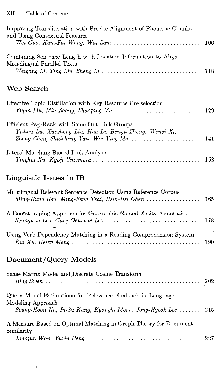| Improving Transliteration with Precise Alignment of Phoneme Chunks<br>and Using Contextual Features<br>Wei Gao, Kam-Fai Wong, Wai Lam                                                         |     |
|-----------------------------------------------------------------------------------------------------------------------------------------------------------------------------------------------|-----|
|                                                                                                                                                                                               | 106 |
| Combining Sentence Length with Location Information to Align<br>Monolingual Parallel Texts                                                                                                    | 118 |
| Web Search                                                                                                                                                                                    |     |
| Effective Topic Distillation with Key Resource Pre-selection<br>$Yiqun \, \, Liu, \, \, Min \, \, Zhang, \, \, Shaoping \, \, Ma \, \ldots \ldots \ldots \ldots \ldots \ldots \ldots \ldots$  | 129 |
| Efficient PageRank with Same Out-Link Groups<br>Yizhou Lu, Xuezheng Liu, Hua Li, Benyu Zhang, Wensi Xi,<br>Zheng Chen, Shuicheng Yan, Wei-Ying Ma $\ldots \ldots \ldots \ldots \ldots \ldots$ | 141 |
| Literal-Matching-Biased Link Analysis                                                                                                                                                         | 153 |
| Linguistic Issues in IR                                                                                                                                                                       |     |
| Multilingual Relevant Sentence Detection Using Reference Corpus<br>Ming-Hung Hsu, Ming-Feng Tsai, Hsin-Hsi Chen                                                                               | 165 |
| A Bootstrapping Approach for Geographic Named Entity Annotation                                                                                                                               | 178 |
| Using Verb Dependency Matching in a Reading Comprehension System                                                                                                                              | 190 |
|                                                                                                                                                                                               |     |

### Document/Query Models

ŧ

| Sense Matrix Model and Discrete Cosine Transform                                                                                                                                                           |  |
|------------------------------------------------------------------------------------------------------------------------------------------------------------------------------------------------------------|--|
| Query Model Estimations for Relevance Feedback in Language<br>Modeling Approach<br>Seung-Hoon Na, In-Su Kang, Kyonghi Moon, Jong-Hyeok Lee  215                                                            |  |
| A Measure Based on Optimal Matching in Graph Theory for Document<br>Similarity<br>$Xiaojun Wan, Yuxin Peng \ldots \ldots \ldots \ldots \ldots \ldots \ldots \ldots \ldots \ldots \ldots \ldots \ldots 227$ |  |